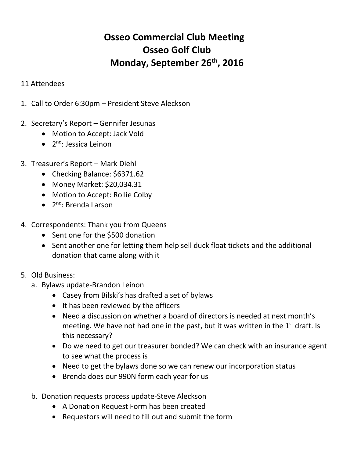## **Osseo Commercial Club Meeting Osseo Golf Club Monday, September 26th, 2016**

## 11 Attendees

1. Call to Order 6:30pm – President Steve Aleckson

## 2. Secretary's Report – Gennifer Jesunas

- Motion to Accept: Jack Vold
- 2<sup>nd</sup>: Jessica Leinon
- 3. Treasurer's Report Mark Diehl
	- Checking Balance: \$6371.62
	- Money Market: \$20,034.31
	- Motion to Accept: Rollie Colby
	- 2<sup>nd</sup>: Brenda Larson
- 4. Correspondents: Thank you from Queens
	- Sent one for the \$500 donation
	- Sent another one for letting them help sell duck float tickets and the additional donation that came along with it

## 5. Old Business:

- a. Bylaws update-Brandon Leinon
	- Casey from Bilski's has drafted a set of bylaws
	- It has been reviewed by the officers
	- Need a discussion on whether a board of directors is needed at next month's meeting. We have not had one in the past, but it was written in the  $1<sup>st</sup>$  draft. Is this necessary?
	- Do we need to get our treasurer bonded? We can check with an insurance agent to see what the process is
	- Need to get the bylaws done so we can renew our incorporation status
	- Brenda does our 990N form each year for us
- b. Donation requests process update-Steve Aleckson
	- A Donation Request Form has been created
	- Requestors will need to fill out and submit the form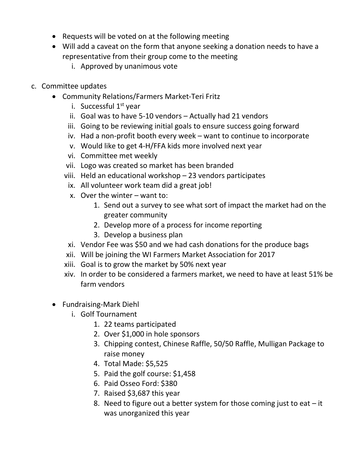- Requests will be voted on at the following meeting
- Will add a caveat on the form that anyone seeking a donation needs to have a representative from their group come to the meeting
	- i. Approved by unanimous vote
- c. Committee updates
	- Community Relations/Farmers Market-Teri Fritz
		- i. Successful  $1<sup>st</sup>$  year
		- ii. Goal was to have 5-10 vendors Actually had 21 vendors
		- iii. Going to be reviewing initial goals to ensure success going forward
		- iv. Had a non-profit booth every week want to continue to incorporate
		- v. Would like to get 4-H/FFA kids more involved next year
		- vi. Committee met weekly
		- vii. Logo was created so market has been branded
		- viii. Held an educational workshop 23 vendors participates
		- ix. All volunteer work team did a great job!
		- x. Over the winter want to:
			- 1. Send out a survey to see what sort of impact the market had on the greater community
			- 2. Develop more of a process for income reporting
			- 3. Develop a business plan
		- xi. Vendor Fee was \$50 and we had cash donations for the produce bags
		- xii. Will be joining the WI Farmers Market Association for 2017
		- xiii. Goal is to grow the market by 50% next year
		- xiv. In order to be considered a farmers market, we need to have at least 51% be farm vendors
	- Fundraising-Mark Diehl
		- i. Golf Tournament
			- 1. 22 teams participated
			- 2. Over \$1,000 in hole sponsors
			- 3. Chipping contest, Chinese Raffle, 50/50 Raffle, Mulligan Package to raise money
			- 4. Total Made: \$5,525
			- 5. Paid the golf course: \$1,458
			- 6. Paid Osseo Ford: \$380
			- 7. Raised \$3,687 this year
			- 8. Need to figure out a better system for those coming just to eat  $-$  it was unorganized this year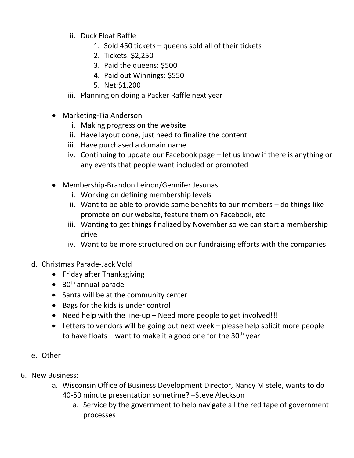- ii. Duck Float Raffle
	- 1. Sold 450 tickets queens sold all of their tickets
	- 2. Tickets: \$2,250
	- 3. Paid the queens: \$500
	- 4. Paid out Winnings: \$550
	- 5. Net:\$1,200
- iii. Planning on doing a Packer Raffle next year
- Marketing-Tia Anderson
	- i. Making progress on the website
	- ii. Have layout done, just need to finalize the content
	- iii. Have purchased a domain name
	- iv. Continuing to update our Facebook page let us know if there is anything or any events that people want included or promoted
- Membership-Brandon Leinon/Gennifer Jesunas
	- i. Working on defining membership levels
	- ii. Want to be able to provide some benefits to our members do things like promote on our website, feature them on Facebook, etc
	- iii. Wanting to get things finalized by November so we can start a membership drive
	- iv. Want to be more structured on our fundraising efforts with the companies
- d. Christmas Parade-Jack Vold
	- Friday after Thanksgiving
	- $\bullet$  30<sup>th</sup> annual parade
	- Santa will be at the community center
	- Bags for the kids is under control
	- Need help with the line-up Need more people to get involved!!!
	- Letters to vendors will be going out next week please help solicit more people to have floats – want to make it a good one for the  $30<sup>th</sup>$  year
- e. Other
- 6. New Business:
	- a. Wisconsin Office of Business Development Director, Nancy Mistele, wants to do 40-50 minute presentation sometime? –Steve Aleckson
		- a. Service by the government to help navigate all the red tape of government processes